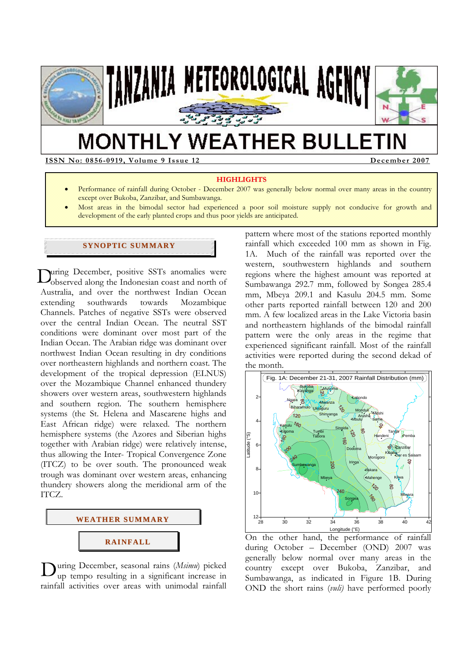

# **MONTHLY WEATHER BULLETIN**

**ISSN No: 0856-0919, Volume 9 Issue 12 December 2007** 

#### **HIGHLIGHTS**

- Performance of rainfall during October December 2007 was generally below normal over many areas in the country except over Bukoba, Zanzibar, and Sumbawanga.
- Most areas in the bimodal sector had experienced a poor soil moisture supply not conducive for growth and development of the early planted crops and thus poor yields are anticipated.

#### **SYNOPTIC SUMMARY**

uring December, positive SSTs anomalies were During December, positive SSTs anomalies were<br>observed along the Indonesian coast and north of Australia, and over the northwest Indian Ocean extending southwards towards Mozambique Channels. Patches of negative SSTs were observed over the central Indian Ocean. The neutral SST conditions were dominant over most part of the Indian Ocean. The Arabian ridge was dominant over northwest Indian Ocean resulting in dry conditions over northeastern highlands and northern coast. The development of the tropical depression (ELNUS) over the Mozambique Channel enhanced thundery showers over western areas, southwestern highlands and southern region. The southern hemisphere systems (the St. Helena and Mascarene highs and East African ridge) were relaxed. The northern hemisphere systems (the Azores and Siberian highs together with Arabian ridge) were relatively intense, thus allowing the Inter- Tropical Convergence Zone (ITCZ) to be over south. The pronounced weak trough was dominant over western areas, enhancing thundery showers along the meridional arm of the ITCZ.



During December, seasonal rains (*Msimu*) picked<br>up tempo resulting in a significant increase in up tempo resulting in a significant increase in rainfall activities over areas with unimodal rainfall

pattern where most of the stations reported monthly rainfall which exceeded 100 mm as shown in Fig. 1A. Much of the rainfall was reported over the western, southwestern highlands and southern regions where the highest amount was reported at Sumbawanga 292.7 mm, followed by Songea 285.4 mm, Mbeya 209.1 and Kasulu 204.5 mm. Some other parts reported rainfall between 120 and 200 mm. A few localized areas in the Lake Victoria basin and northeastern highlands of the bimodal rainfall pattern were the only areas in the regime that experienced significant rainfall. Most of the rainfall activities were reported during the second dekad of the month.



On the other hand, the performance of rainfall during October – December (OND) 2007 was generally below normal over many areas in the country except over Bukoba, Zanzibar, and Sumbawanga, as indicated in Figure 1B. During OND the short rains (*vuli)* have performed poorly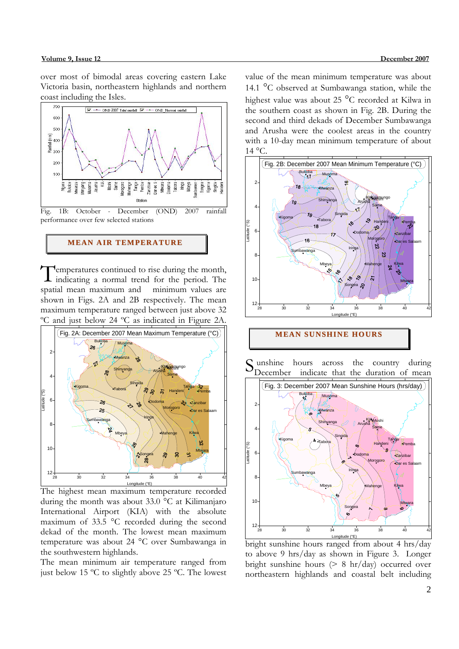over most of bimodal areas covering eastern Lake Victoria basin, northeastern highlands and northern coast including the Isles.



performance over few selected stations

### **MEAN AIR TEMPERATURE**

**Pemperatures continued to rise during the month,** Temperatures continued to rise during the month,<br>indicating a normal trend for the period. The spatial mean maximum and minimum values are shown in Figs. 2A and 2B respectively. The mean maximum temperature ranged between just above 32 ºC and just below 24 ºC as indicated in Figure 2A.



The highest mean maximum temperature recorded during the month was about 33.0 °C at Kilimanjaro International Airport (KIA) with the absolute maximum of 33.5 °C recorded during the second dekad of the month. The lowest mean maximum temperature was about 24 °C over Sumbawanga in the southwestern highlands.

The mean minimum air temperature ranged from just below 15 ºC to slightly above 25 ºC. The lowest value of the mean minimum temperature was about 14.1 °C observed at Sumbawanga station, while the highest value was about 25 °C recorded at Kilwa in the southern coast as shown in Fig. 2B. During the second and third dekads of December Sumbawanga and Arusha were the coolest areas in the country with a 10-day mean minimum temperature of about  $14 \text{ °C}$ .



## **MEAN SUNSHINE HOURS**

Sunshine hours across the country during<br>December indicate that the duration of mean December indicate that the duration of mean



bright sunshine hours ranged from about 4 hrs/day to above 9 hrs/day as shown in Figure 3. Longer bright sunshine hours (> 8 hr/day) occurred over northeastern highlands and coastal belt including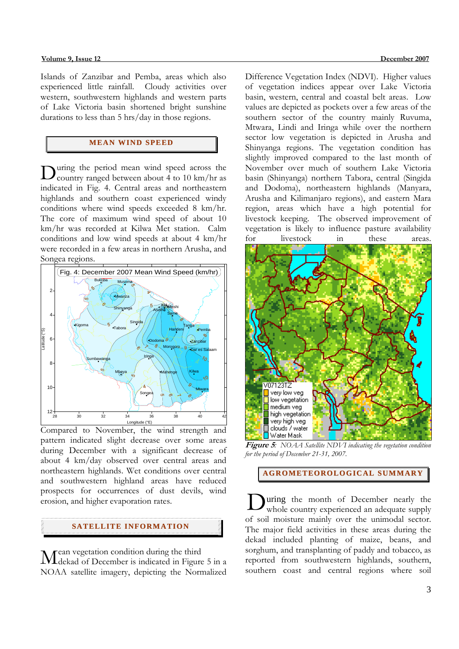Islands of Zanzibar and Pemba, areas which also experienced little rainfall. Cloudy activities over western, southwestern highlands and western parts of Lake Victoria basin shortened bright sunshine durations to less than 5 hrs/day in those regions.

#### **MEAN WIND SPEED**

During the period mean wind speed across the country ranged between about 4 to 10 km/hr as country ranged between about 4 to 10 km/hr as indicated in Fig. 4. Central areas and northeastern highlands and southern coast experienced windy conditions where wind speeds exceeded 8 km/hr. The core of maximum wind speed of about 10 km/hr was recorded at Kilwa Met station. Calm conditions and low wind speeds at about 4 km/hr were recorded in a few areas in northern Arusha, and Songea regions.



Compared to November, the wind strength and pattern indicated slight decrease over some areas during December with a significant decrease of about 4 km/day observed over central areas and northeastern highlands. Wet conditions over central and southwestern highland areas have reduced prospects for occurrences of dust devils, wind erosion, and higher evaporation rates.

#### **SATELLITE I NFORMATI ON**

ean vegetation condition during the third Mean vegetation condition during the third<br>Meekad of December is indicated in Figure 5 in a NOAA satellite imagery, depicting the Normalized

Difference Vegetation Index (NDVI). Higher values of vegetation indices appear over Lake Victoria basin, western, central and coastal belt areas. Low values are depicted as pockets over a few areas of the southern sector of the country mainly Ruvuma, Mtwara, Lindi and Iringa while over the northern sector low vegetation is depicted in Arusha and Shinyanga regions. The vegetation condition has slightly improved compared to the last month of November over much of southern Lake Victoria basin (Shinyanga) northern Tabora, central (Singida and Dodoma), northeastern highlands (Manyara, Arusha and Kilimanjaro regions), and eastern Mara region, areas which have a high potential for livestock keeping. The observed improvement of vegetation is likely to influence pasture availability for livestock in these areas.



**Figure 5***: NOAA Satellite NDVI indicating the vegetation condition for the period of December 21-31, 2007.* 

**AGROMETEOROLOGICAL SUMMARY**

uring the month of December nearly the whole country experienced an adequate supply of soil moisture mainly over the unimodal sector. The major field activities in these areas during the dekad included planting of maize, beans, and sorghum, and transplanting of paddy and tobacco, as reported from southwestern highlands, southern, southern coast and central regions where soil D